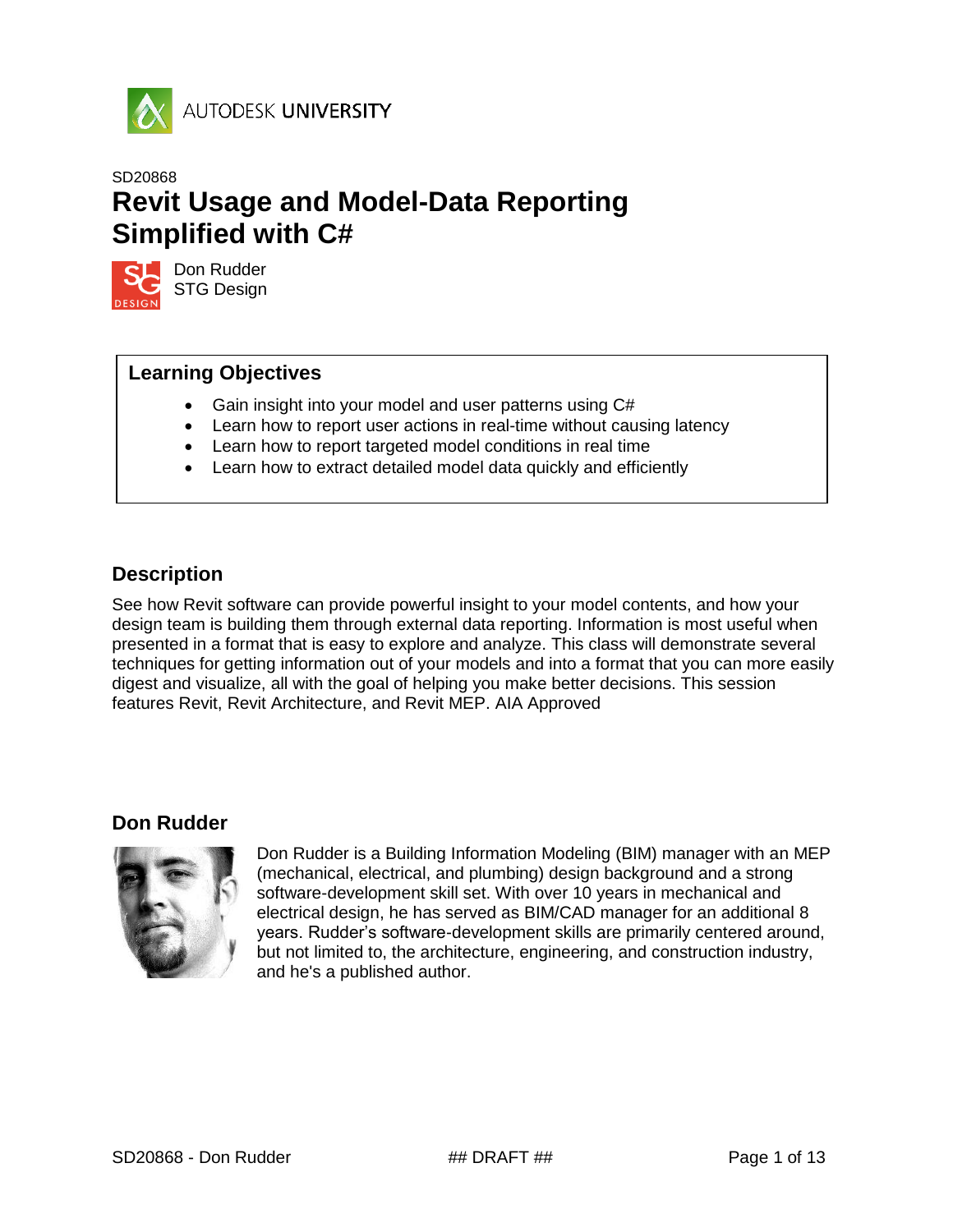

# SD20868 **Revit Usage and Model-Data Reporting Simplified with C#**



Don Rudder STG Design

## **Learning Objectives**

- Gain insight into your model and user patterns using C#
- Learn how to report user actions in real-time without causing latency
- Learn how to report targeted model conditions in real time
- Learn how to extract detailed model data quickly and efficiently

## <span id="page-0-0"></span>**Description**

See how Revit software can provide powerful insight to your model contents, and how your design team is building them through external data reporting. Information is most useful when presented in a format that is easy to explore and analyze. This class will demonstrate several techniques for getting information out of your models and into a format that you can more easily digest and visualize, all with the goal of helping you make better decisions. This session features Revit, Revit Architecture, and Revit MEP. AIA Approved

## <span id="page-0-1"></span>**Don Rudder**



Don Rudder is a Building Information Modeling (BIM) manager with an MEP (mechanical, electrical, and plumbing) design background and a strong software-development skill set. With over 10 years in mechanical and electrical design, he has served as BIM/CAD manager for an additional 8 years. Rudder's software-development skills are primarily centered around, but not limited to, the architecture, engineering, and construction industry, and he's a published author.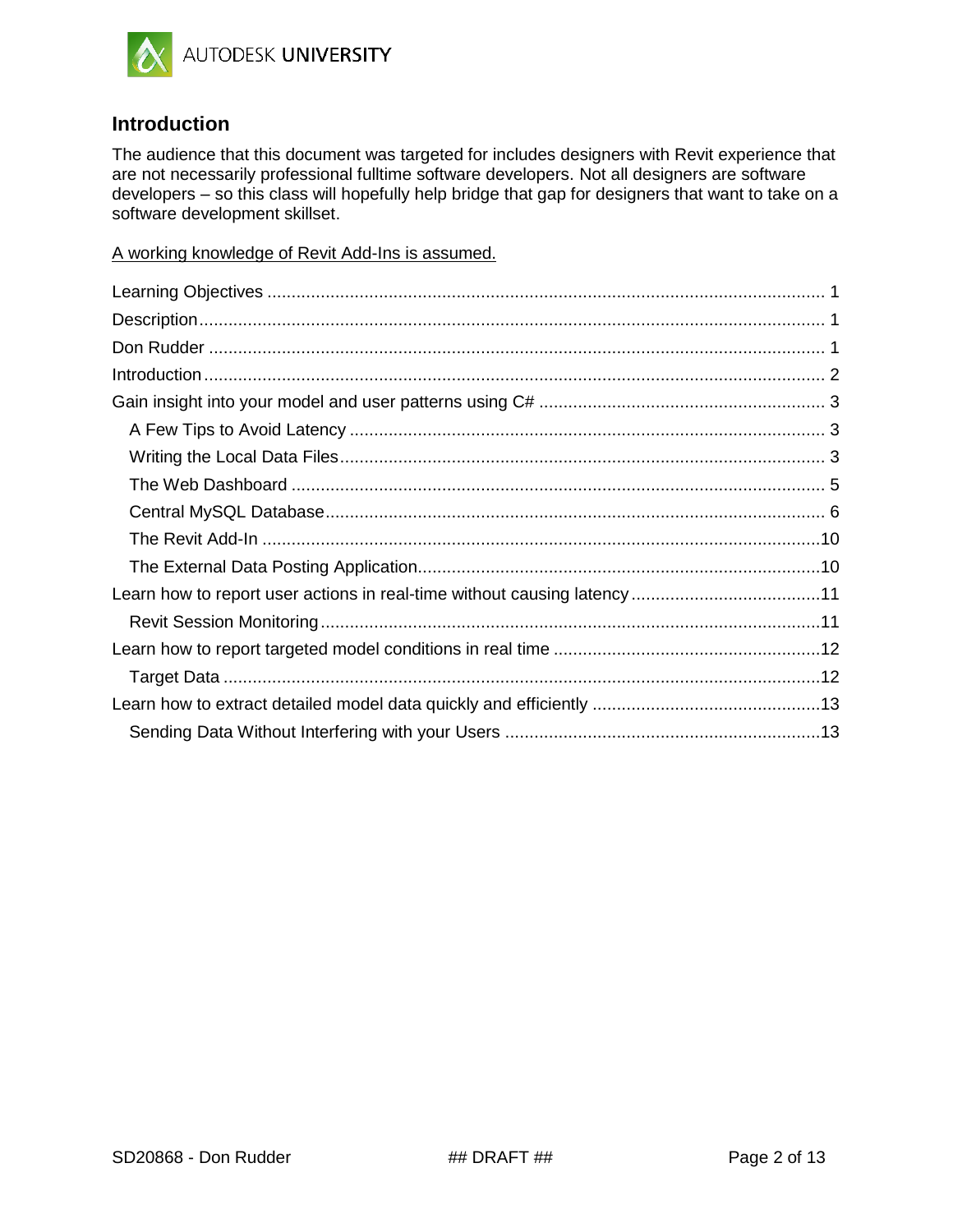

## <span id="page-1-0"></span>**Introduction**

The audience that this document was targeted for includes designers with Revit experience that are not necessarily professional fulltime software developers. Not all designers are software developers – so this class will hopefully help bridge that gap for designers that want to take on a software development skillset.

A working knowledge of Revit Add-Ins is assumed.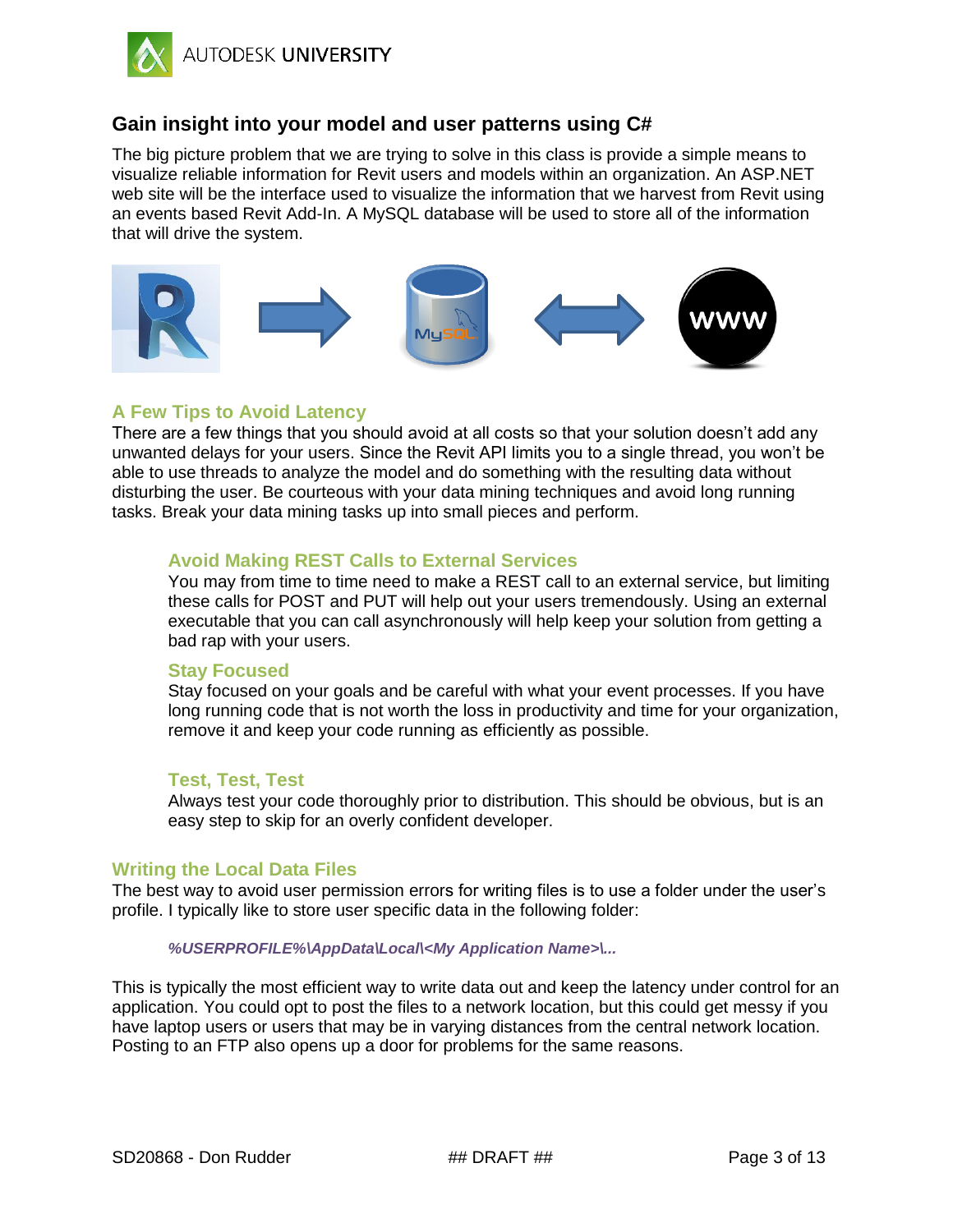

## <span id="page-2-0"></span>**Gain insight into your model and user patterns using C#**

The big picture problem that we are trying to solve in this class is provide a simple means to visualize reliable information for Revit users and models within an organization. An ASP.NET web site will be the interface used to visualize the information that we harvest from Revit using an events based Revit Add-In. A MySQL database will be used to store all of the information that will drive the system.



## <span id="page-2-1"></span>**A Few Tips to Avoid Latency**

There are a few things that you should avoid at all costs so that your solution doesn't add any unwanted delays for your users. Since the Revit API limits you to a single thread, you won't be able to use threads to analyze the model and do something with the resulting data without disturbing the user. Be courteous with your data mining techniques and avoid long running tasks. Break your data mining tasks up into small pieces and perform.

## **Avoid Making REST Calls to External Services**

You may from time to time need to make a REST call to an external service, but limiting these calls for POST and PUT will help out your users tremendously. Using an external executable that you can call asynchronously will help keep your solution from getting a bad rap with your users.

### **Stay Focused**

Stay focused on your goals and be careful with what your event processes. If you have long running code that is not worth the loss in productivity and time for your organization, remove it and keep your code running as efficiently as possible.

### **Test, Test, Test**

Always test your code thoroughly prior to distribution. This should be obvious, but is an easy step to skip for an overly confident developer.

### <span id="page-2-2"></span>**Writing the Local Data Files**

The best way to avoid user permission errors for writing files is to use a folder under the user's profile. I typically like to store user specific data in the following folder:

### *%USERPROFILE%\AppData\Local\<My Application Name>\...*

This is typically the most efficient way to write data out and keep the latency under control for an application. You could opt to post the files to a network location, but this could get messy if you have laptop users or users that may be in varying distances from the central network location. Posting to an FTP also opens up a door for problems for the same reasons.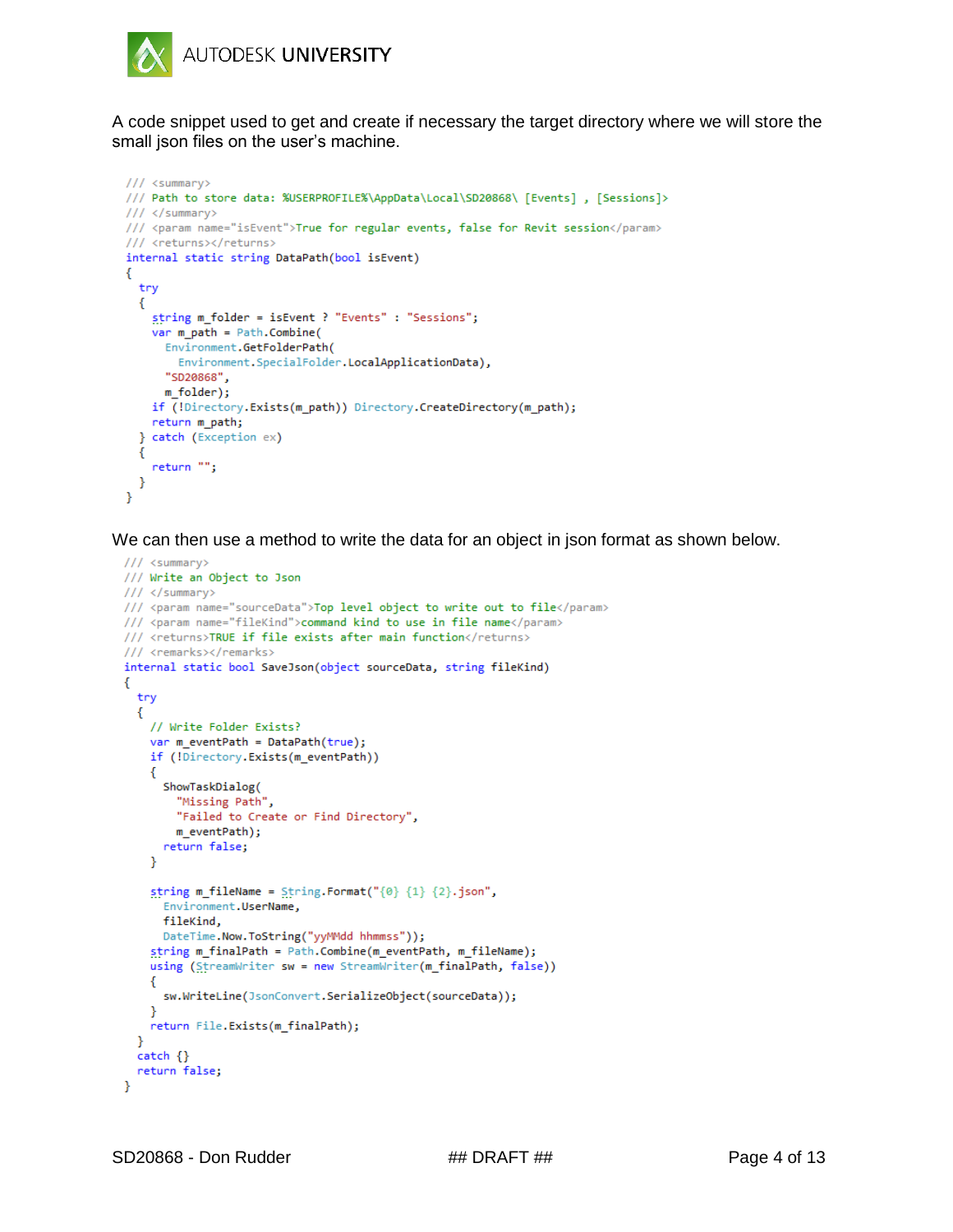

A code snippet used to get and create if necessary the target directory where we will store the small json files on the user's machine.

```
/// <summary>
/// Path to store data: %USERPROFILE%\AppData\Local\SD20868\ [Events], [Sessions]>
/// </summary>
/// <param name="isEvent">True for regular events, false for Revit session</param>
/// <returns></returns>
internal static string DataPath(bool isEvent)
€
  try
  €
    string m_folder = isEvent ? "Events" : "Sessions";
    var m.path = Path.Combine(Environment.GetFolderPath(
        Environment.SpecialFolder.LocalApplicationData),
     "SD20868",
     m_folder);
   if (!Directory.Exists(m_path)) Directory.CreateDirectory(m_path);
   return m_path;
  } catch (Exception ex)
 \mathcal{L}_{\mathcal{L}}return \text{ '''''};}
Y
```
We can then use a method to write the data for an object in json format as shown below.

```
/// <summary>
/// Write an Object to Json
/// </summary>
/// <param name="sourceData">Top level object to write out to file</param>
/// <param name="fileKind">command kind to use in file name</param>
/// <returns>TRUE if file exists after main function</returns>
/// <remarks></remarks>
internal static bool SaveJson(object sourceData, string fileKind)
€
  try
  €
    // Write Folder Exists?
    var m_eventPath = DataPath(true);
    if (!Directory.Exists(m_eventPath))
    €
      ShowTaskDialog(
        "Missing Path",
        "Failed to Create or Find Directory",
        m_eventPath);
     return false;
    Y
    string m_fileName = String.Format("\{0\} \{1\} \{2\}.json",
      Environment.UserName,
      fileKind.
      DateTime.Now.ToString("yyMMdd hhmmss"));
    string m_finalPath = Path.Combine(m_eventPath, m_fileName);
    using (StreamWriter sw = new StreamWriter(m_finalPath, false))
    €
      sw.WriteLine(JsonConvert.SerializeObject(sourceData));
    Y
    return File.Exists(m_finalPath);
  <sup>}</sup>
  catch <math>\{\}return false;
ł
```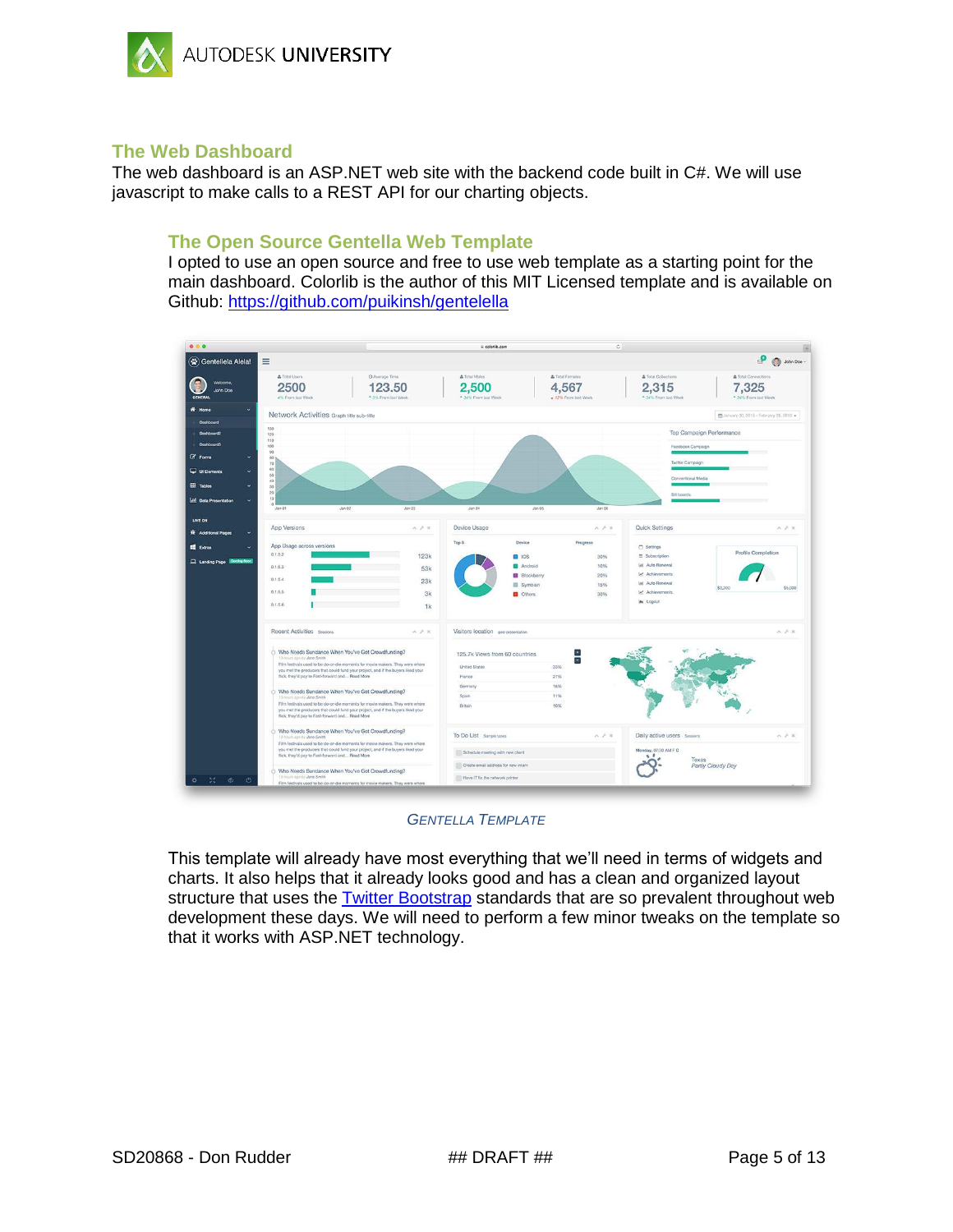

## <span id="page-4-0"></span>**The Web Dashboard**

The web dashboard is an ASP.NET web site with the backend code built in C#. We will use javascript to make calls to a REST API for our charting objects.

## **The Open Source Gentella Web Template**

I opted to use an open source and free to use web template as a starting point for the main dashboard. Colorlib is the author of this MIT Licensed template and is available on Github: <https://github.com/puikinsh/gentelella>



#### *GENTELLA TEMPLATE*

This template will already have most everything that we'll need in terms of widgets and charts. It also helps that it already looks good and has a clean and organized layout structure that uses the [Twitter Bootstrap](http://getbootstrap.com/getting-started/) standards that are so prevalent throughout web development these days. We will need to perform a few minor tweaks on the template so that it works with ASP.NET technology.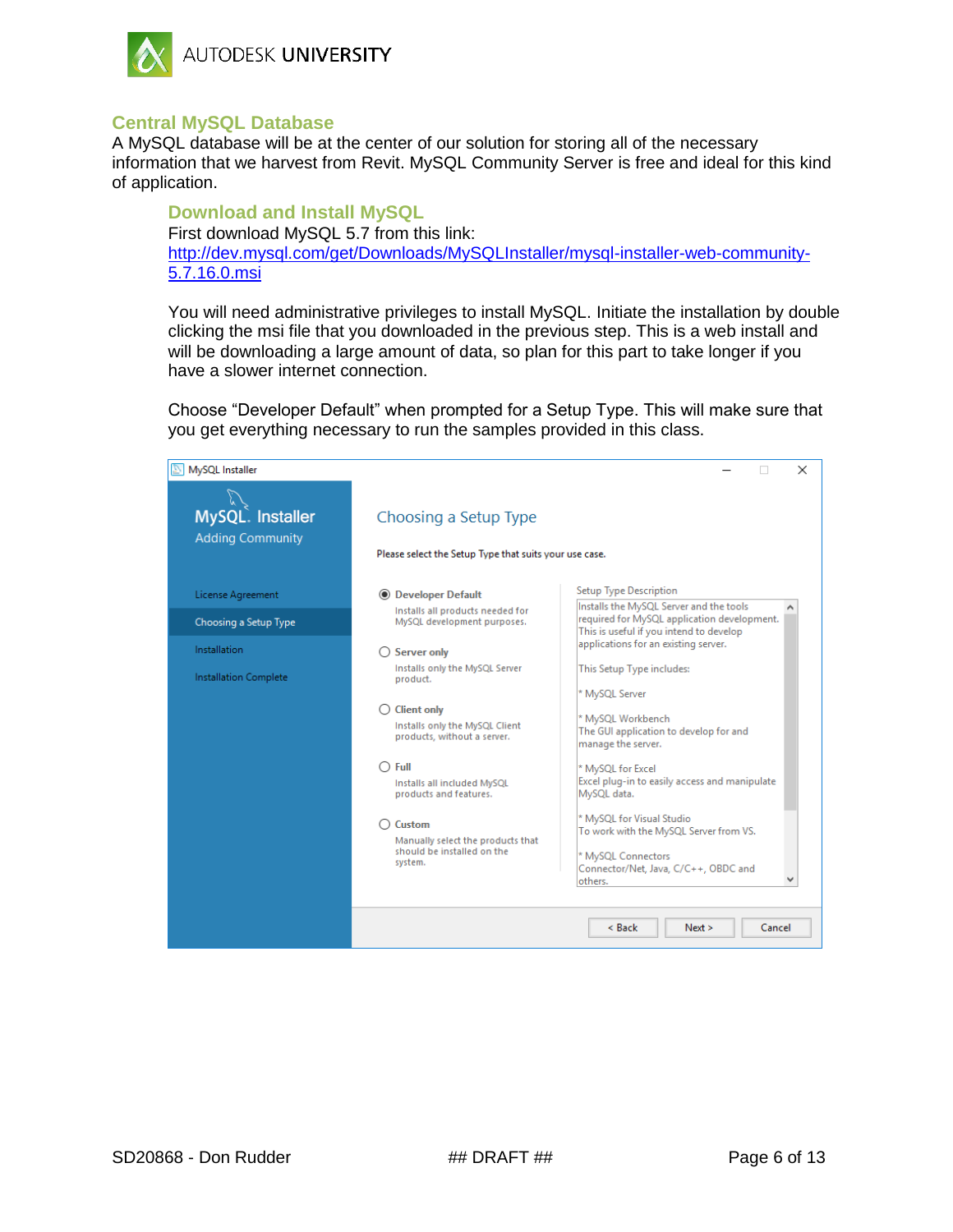

## <span id="page-5-0"></span>**Central MySQL Database**

A MySQL database will be at the center of our solution for storing all of the necessary information that we harvest from Revit. MySQL Community Server is free and ideal for this kind of application.

**Download and Install MySQL** First download MySQL 5.7 from this link: [http://dev.mysql.com/get/Downloads/MySQLInstaller/mysql-installer-web-community-](http://dev.mysql.com/get/Downloads/MySQLInstaller/mysql-installer-web-community-5.7.16.0.msi)[5.7.16.0.msi](http://dev.mysql.com/get/Downloads/MySQLInstaller/mysql-installer-web-community-5.7.16.0.msi)

You will need administrative privileges to install MySQL. Initiate the installation by double clicking the msi file that you downloaded in the previous step. This is a web install and will be downloading a large amount of data, so plan for this part to take longer if you have a slower internet connection.

Choose "Developer Default" when prompted for a Setup Type. This will make sure that you get everything necessary to run the samples provided in this class.

| MySQL Installer                             |                                                                                                                                                                                                                                              | ×                                                                                                                                                                                                                                                                                                                                        |
|---------------------------------------------|----------------------------------------------------------------------------------------------------------------------------------------------------------------------------------------------------------------------------------------------|------------------------------------------------------------------------------------------------------------------------------------------------------------------------------------------------------------------------------------------------------------------------------------------------------------------------------------------|
| MySQL. Installer<br><b>Adding Community</b> | Choosing a Setup Type<br>Please select the Setup Type that suits your use case.                                                                                                                                                              |                                                                                                                                                                                                                                                                                                                                          |
| License Agreement                           | <b>O</b> Developer Default                                                                                                                                                                                                                   | <b>Setup Type Description</b>                                                                                                                                                                                                                                                                                                            |
| Choosing a Setup Type                       | Installs all products needed for<br>MySQL development purposes.                                                                                                                                                                              | Installs the MySQL Server and the tools<br>required for MySQL application development.<br>This is useful if you intend to develop                                                                                                                                                                                                        |
| Installation                                | <b>Server only</b>                                                                                                                                                                                                                           | applications for an existing server.                                                                                                                                                                                                                                                                                                     |
| Installation Complete                       | Installs only the MySQL Server<br>product.                                                                                                                                                                                                   | This Setup Type includes:                                                                                                                                                                                                                                                                                                                |
|                                             | <b>Client only</b><br>Installs only the MySQL Client<br>products, without a server.<br>Full<br>Installs all included MySQL<br>products and features.<br>Custom<br>Manually select the products that<br>should be installed on the<br>system. | * MySQL Server<br>* MySQL Workbench<br>The GUI application to develop for and<br>manage the server.<br>* MySQL for Excel<br>Excel plug-in to easily access and manipulate<br>MySQL data.<br>* MySQL for Visual Studio<br>To work with the MySQL Server from VS.<br>* MySQL Connectors<br>Connector/Net, Java, C/C++, OBDC and<br>others. |
|                                             |                                                                                                                                                                                                                                              | Cancel<br>< Back<br>Next >                                                                                                                                                                                                                                                                                                               |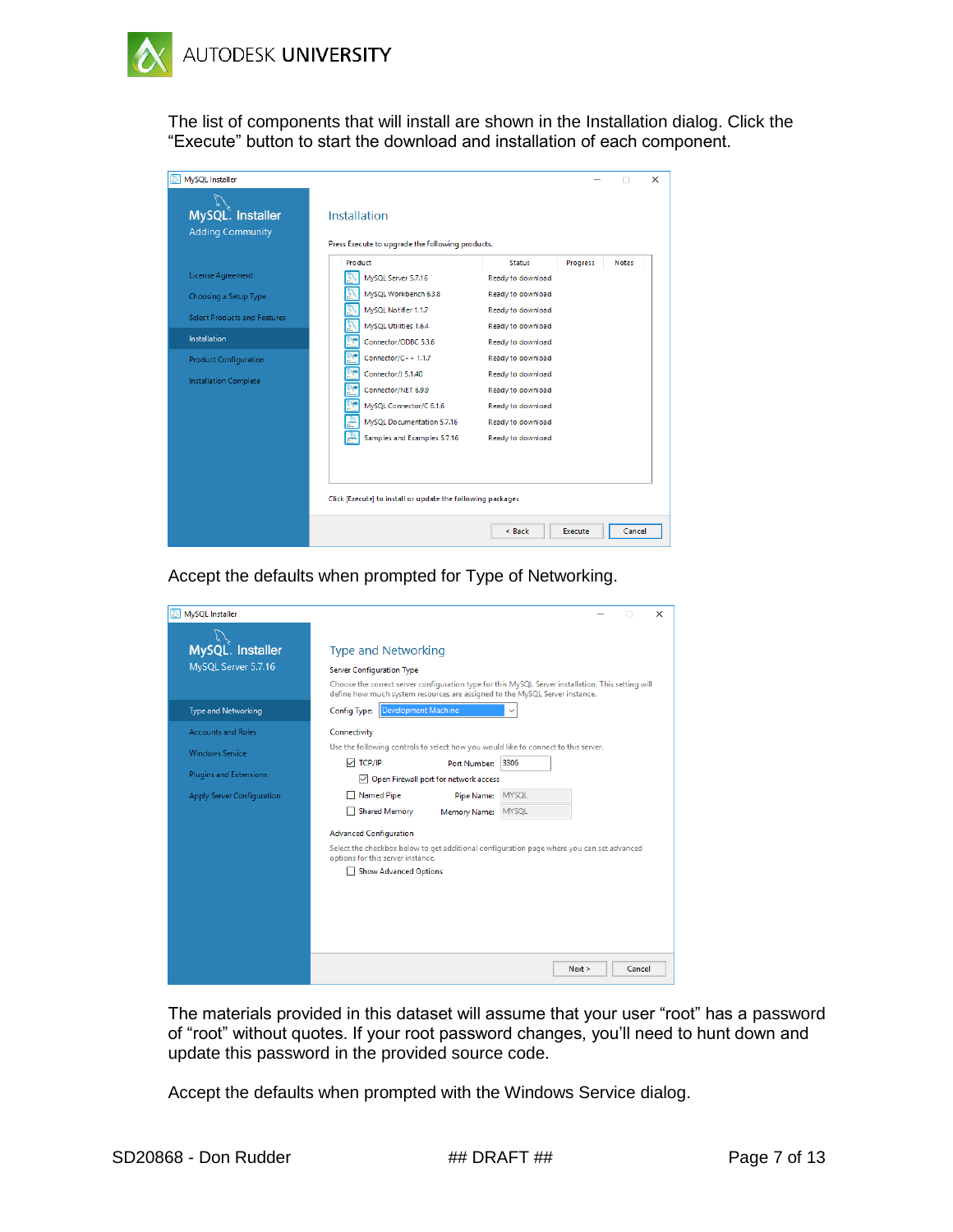

The list of components that will install are shown in the Installation dialog. Click the "Execute" button to start the download and installation of each component.

| MvSQL Installer                             |                                                                  |                     | $\times$                 |
|---------------------------------------------|------------------------------------------------------------------|---------------------|--------------------------|
| MySQL. Installer<br><b>Adding Community</b> | Installation<br>Press Execute to upgrade the following products. |                     |                          |
|                                             | Product                                                          | <b>Status</b>       | <b>Notes</b><br>Progress |
| License Agreement                           | MySQL Server 5.7.16                                              | Ready to download   |                          |
| Choosing a Setup Type                       | MvSQL Workbench 6.3.8                                            | Ready to download   |                          |
| Select Products and Features                | MySQL Notifier 1.1.7                                             | Ready to download   |                          |
|                                             | MySQL Utilities 1.6.4                                            | Ready to download   |                          |
| <b>Installation</b>                         | Connector/ODBC 5.3.6                                             | Ready to download   |                          |
| <b>Product Configuration</b>                | Connector/C++ $1.1.7$                                            | Ready to download   |                          |
| <b>Installation Complete</b>                | Connector/J 5.1.40                                               | Ready to download   |                          |
|                                             | Connector/NET 6.9.9                                              | Ready to download   |                          |
|                                             | MySQL Connector/C 6.1.6                                          | Ready to download   |                          |
|                                             | MvSOL Documentation 5.7.16                                       | Ready to download   |                          |
|                                             | Samples and Examples 5.7.16                                      | Ready to download   |                          |
|                                             |                                                                  |                     |                          |
|                                             |                                                                  |                     |                          |
|                                             | Click [Execute] to install or update the following packages      |                     |                          |
|                                             |                                                                  | $<$ Back<br>Execute | Cancel                   |

Accept the defaults when prompted for Type of Networking.

| MySQL Installer                         | X                                                                                                                                                                                                                                                   |
|-----------------------------------------|-----------------------------------------------------------------------------------------------------------------------------------------------------------------------------------------------------------------------------------------------------|
| MySQL. Installer<br>MySQL Server 5.7.16 | <b>Type and Networking</b><br><b>Server Configuration Type</b><br>Choose the correct server configuration type for this MySQL Server installation. This setting will<br>define how much system resources are assigned to the MySQL Server instance. |
| <b>Type and Networking</b>              | Development Machine<br>Config Type:                                                                                                                                                                                                                 |
| <b>Accounts and Roles</b>               | Connectivity                                                                                                                                                                                                                                        |
| <b>Windows Service</b>                  | Use the following controls to select how you would like to connect to this server.                                                                                                                                                                  |
| <b>Plugins and Extensions</b>           | $\vee$ TCP/IP<br>3306<br>Port Number:                                                                                                                                                                                                               |
|                                         | Open Firewall port for network access                                                                                                                                                                                                               |
| Apply Server Configuration              | <b>MYSQL</b><br><b>Named Pipe</b><br>Pipe Name:                                                                                                                                                                                                     |
|                                         | <b>Shared Memory</b><br><b>MYSOL</b><br><b>Memory Name:</b>                                                                                                                                                                                         |
|                                         | <b>Advanced Configuration</b>                                                                                                                                                                                                                       |
|                                         | Select the checkbox below to get additional configuration page where you can set advanced<br>options for this server instance.                                                                                                                      |
|                                         | <b>Show Advanced Options</b>                                                                                                                                                                                                                        |
|                                         |                                                                                                                                                                                                                                                     |
|                                         |                                                                                                                                                                                                                                                     |
|                                         |                                                                                                                                                                                                                                                     |
|                                         |                                                                                                                                                                                                                                                     |
|                                         |                                                                                                                                                                                                                                                     |
|                                         | Cancel<br>Next >                                                                                                                                                                                                                                    |

The materials provided in this dataset will assume that your user "root" has a password of "root" without quotes. If your root password changes, you'll need to hunt down and update this password in the provided source code.

Accept the defaults when prompted with the Windows Service dialog.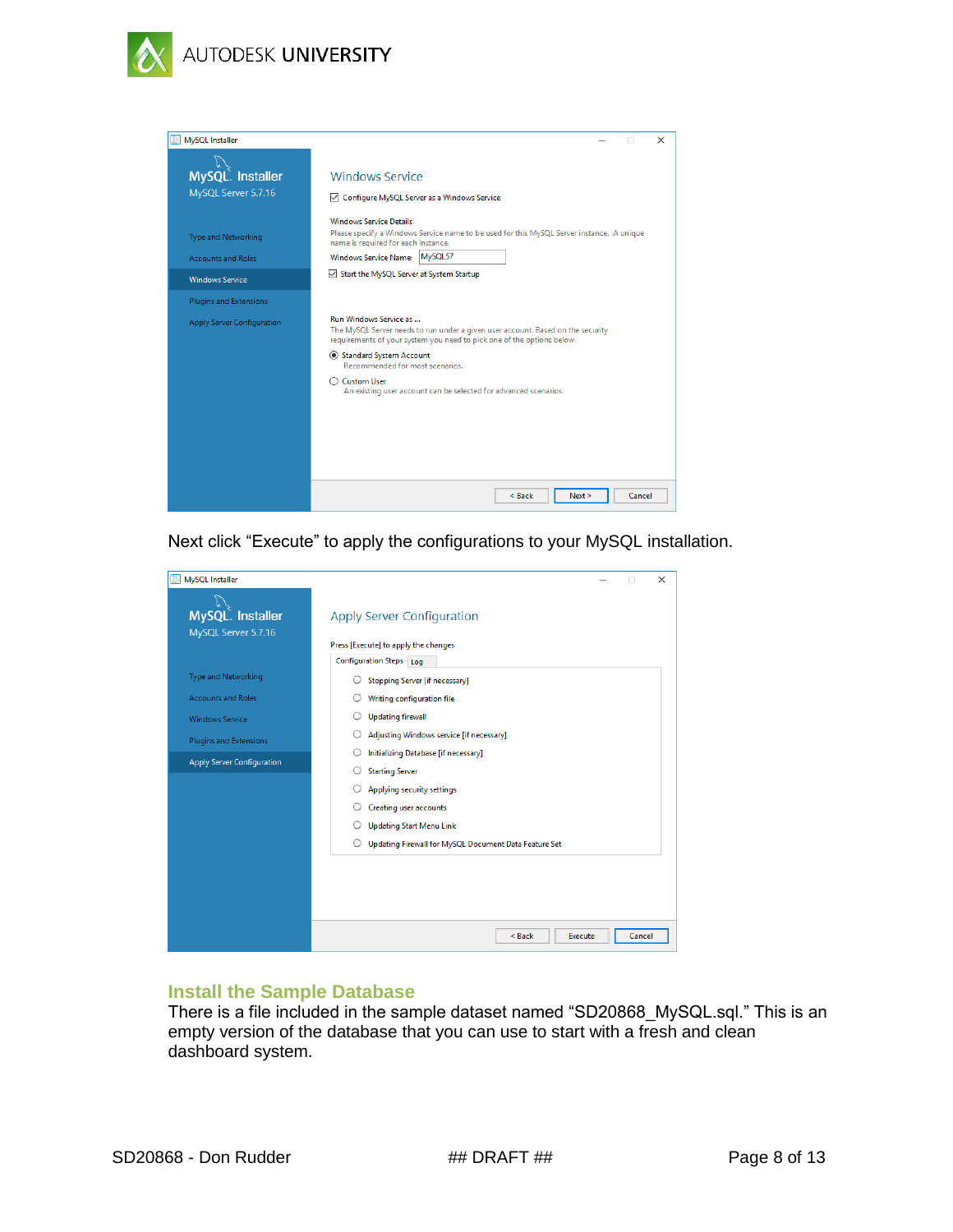



Next click "Execute" to apply the configurations to your MySQL installation.

| MySQL Installer<br>A                    |                                                                           |        | $\times$ |
|-----------------------------------------|---------------------------------------------------------------------------|--------|----------|
| MySQL. Installer<br>MySQL Server 5.7.16 | <b>Apply Server Configuration</b><br>Press [Execute] to apply the changes |        |          |
|                                         | <b>Configuration Steps</b><br>Log                                         |        |          |
| Type and Networking                     | Stopping Server [if necessary]                                            |        |          |
| <b>Accounts and Roles</b>               | Writing configuration file                                                |        |          |
| <b>Windows Service</b>                  | <b>Updating firewall</b>                                                  |        |          |
| Plugins and Extensions                  | Adjusting Windows service [if necessary]                                  |        |          |
| Apply Server Configuration              | Initializing Database [if necessary]                                      |        |          |
|                                         | <b>Starting Server</b><br>O                                               |        |          |
|                                         | Applying security settings                                                |        |          |
|                                         | Creating user accounts                                                    |        |          |
|                                         | <b>Updating Start Menu Link</b>                                           |        |          |
|                                         | Updating Firewall for MySQL Document Data Feature Set<br>O                |        |          |
|                                         |                                                                           |        |          |
|                                         |                                                                           |        |          |
|                                         |                                                                           |        |          |
|                                         |                                                                           |        |          |
|                                         | Execute<br>< Back                                                         | Cancel |          |

## **Install the Sample Database**

There is a file included in the sample dataset named "SD20868\_MySQL.sql." This is an empty version of the database that you can use to start with a fresh and clean dashboard system.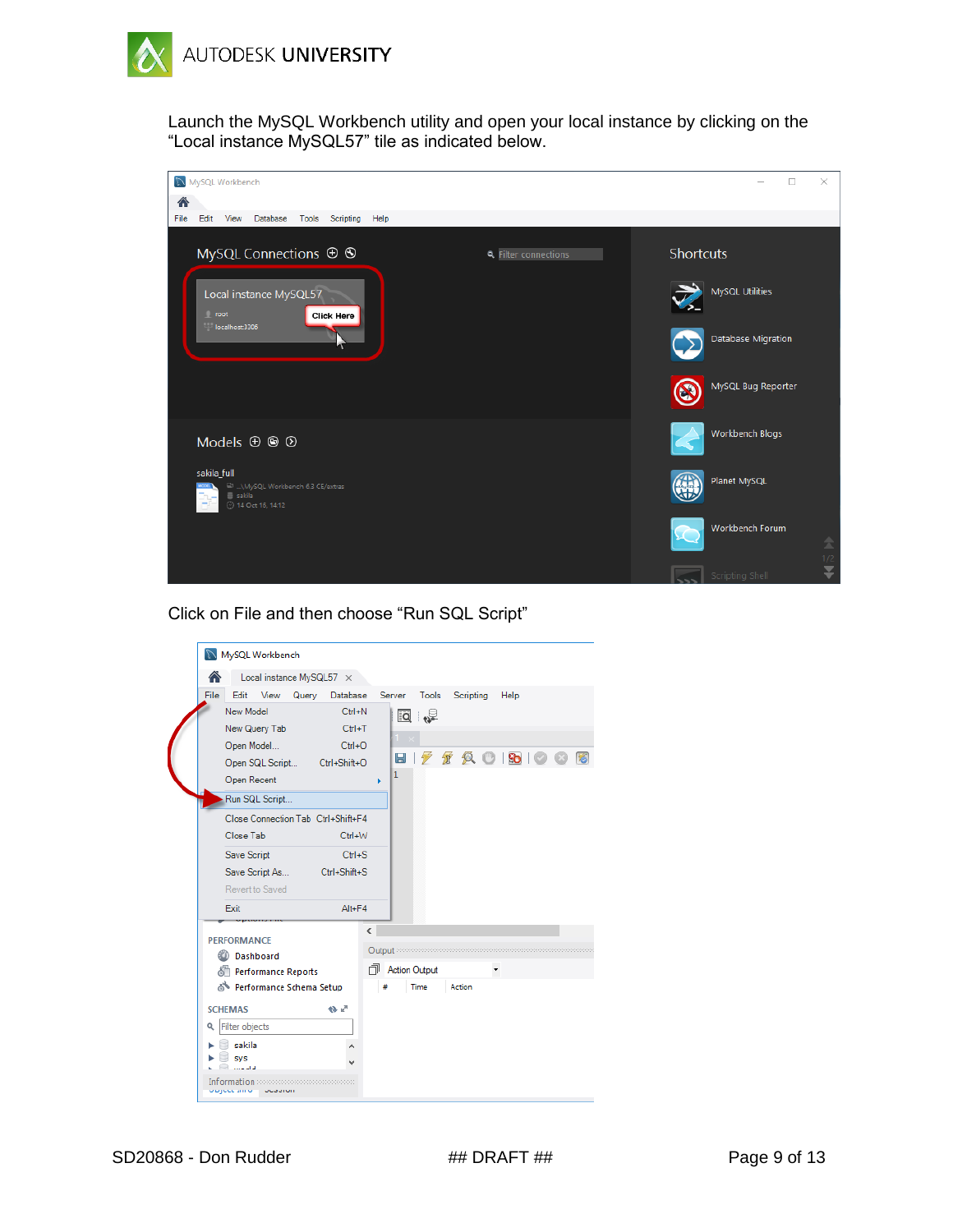

Launch the MySQL Workbench utility and open your local instance by clicking on the "Local instance MySQL57" tile as indicated below.



Click on File and then choose "Run SQL Script"

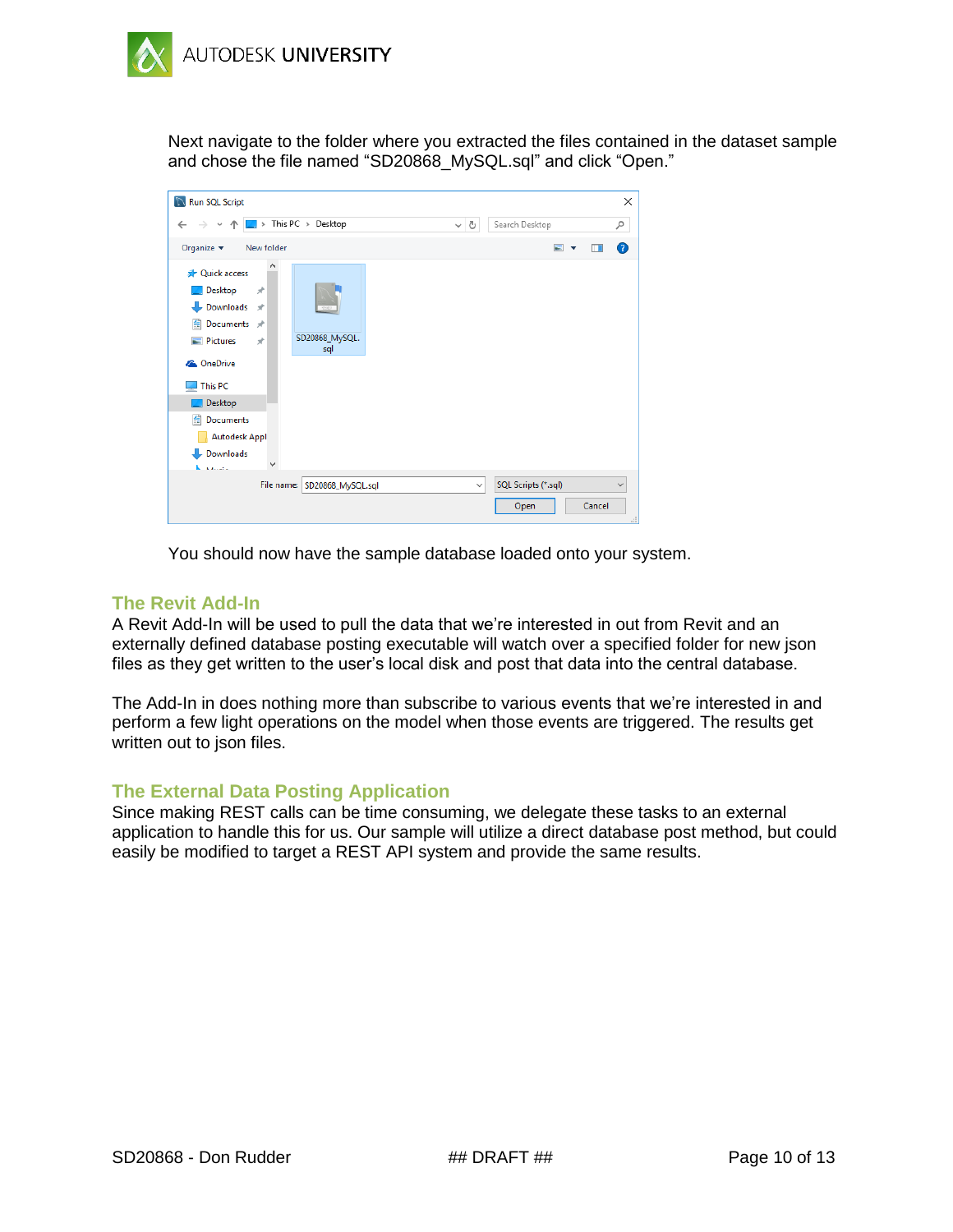

Next navigate to the folder where you extracted the files contained in the dataset sample and chose the file named "SD20868\_MySQL.sql" and click "Open."

| ↑  ■ > This PC > Desktop<br>$\sim$ 0<br>$\leftarrow$<br>$\checkmark$<br>Organize $\blacktriangledown$<br>New folder<br><b>A</b> Quick access<br>Desktop<br>$\mathcal{R}$<br>Downloads *<br>葟<br>Documents *<br>SD20868_MySQL.<br>$\blacksquare$ Pictures<br>$\overrightarrow{x}$<br>sql<br><b>Component</b> OneDrive<br>This PC<br>Desktop<br>葟<br>Documents<br><b>Autodesk Appl</b><br>Downloads |                                       | X            |
|---------------------------------------------------------------------------------------------------------------------------------------------------------------------------------------------------------------------------------------------------------------------------------------------------------------------------------------------------------------------------------------------------|---------------------------------------|--------------|
|                                                                                                                                                                                                                                                                                                                                                                                                   | Search Desktop                        | مر           |
|                                                                                                                                                                                                                                                                                                                                                                                                   | $\blacksquare$<br>ш                   | ◙            |
| <b>Kingdom</b>                                                                                                                                                                                                                                                                                                                                                                                    |                                       |              |
| File name: SD20868_MySQL.sql<br>$\checkmark$                                                                                                                                                                                                                                                                                                                                                      | SQL Scripts (*.sql)<br>Cancel<br>Open | $\checkmark$ |

You should now have the sample database loaded onto your system.

## <span id="page-9-0"></span>**The Revit Add-In**

A Revit Add-In will be used to pull the data that we're interested in out from Revit and an externally defined database posting executable will watch over a specified folder for new json files as they get written to the user's local disk and post that data into the central database.

The Add-In in does nothing more than subscribe to various events that we're interested in and perform a few light operations on the model when those events are triggered. The results get written out to json files.

### <span id="page-9-1"></span>**The External Data Posting Application**

Since making REST calls can be time consuming, we delegate these tasks to an external application to handle this for us. Our sample will utilize a direct database post method, but could easily be modified to target a REST API system and provide the same results.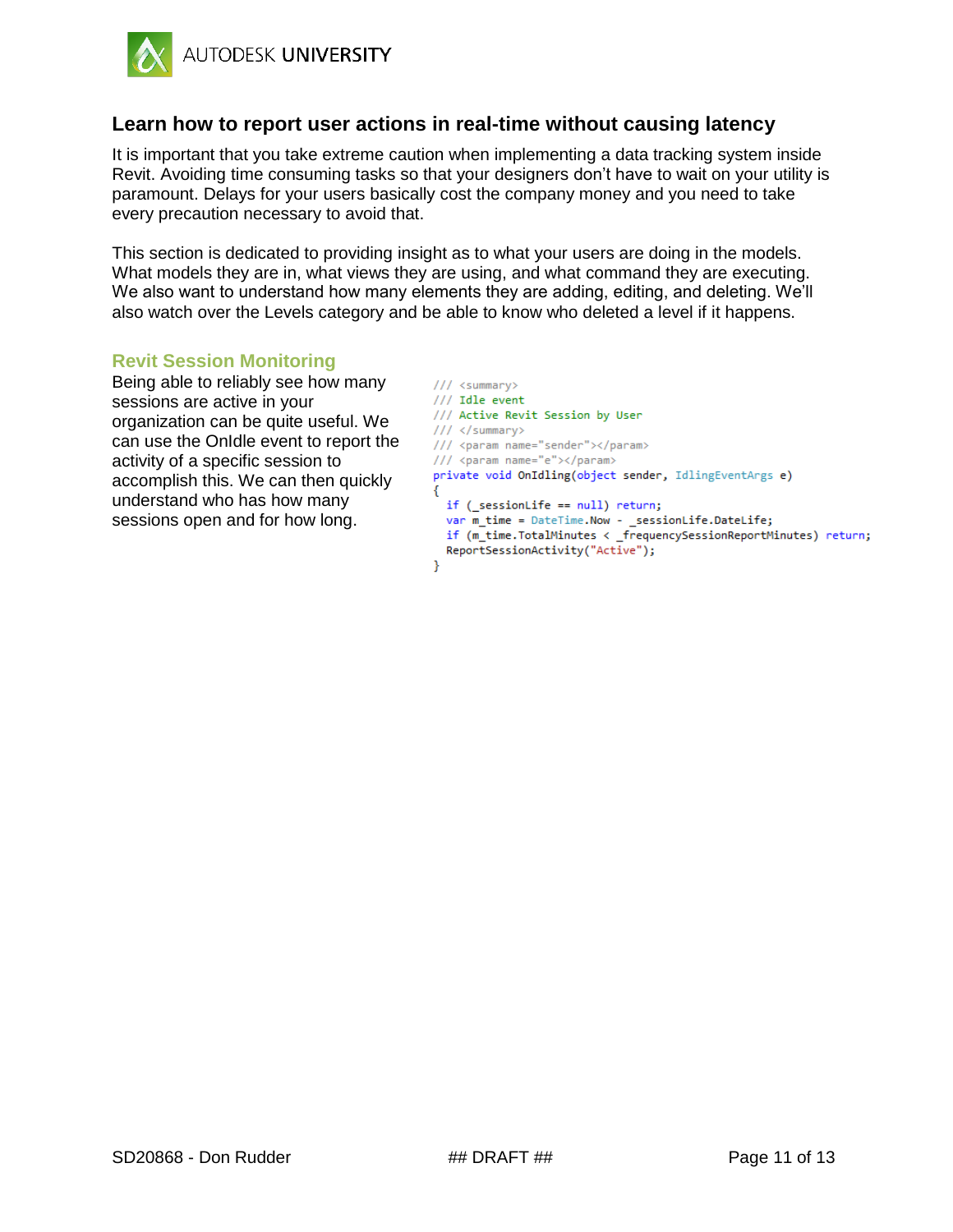

## <span id="page-10-0"></span>**Learn how to report user actions in real-time without causing latency**

It is important that you take extreme caution when implementing a data tracking system inside Revit. Avoiding time consuming tasks so that your designers don't have to wait on your utility is paramount. Delays for your users basically cost the company money and you need to take every precaution necessary to avoid that.

This section is dedicated to providing insight as to what your users are doing in the models. What models they are in, what views they are using, and what command they are executing. We also want to understand how many elements they are adding, editing, and deleting. We'll also watch over the Levels category and be able to know who deleted a level if it happens.

#### <span id="page-10-1"></span>**Revit Session Monitoring**

Being able to reliably see how many sessions are active in your organization can be quite useful. We can use the OnIdle event to report the activity of a specific session to accomplish this. We can then quickly understand who has how many sessions open and for how long.

```
/// <summary>
/// Idle event
/// Active Revit Session by User
/// </summary>
/// <param name="sender"></param>
/// <param name="e"></param>
private void OnIdling(object sender, IdlingEventArgs e)
€
  if (_sessionLife == null) return;
  var m_time = DateTime.Now - _sessionLife.DateLife;
  if (m_time.TotalMinutes < _frequencySessionReportMinutes) return;
  ReportSessionActivity("Active");
Þ
```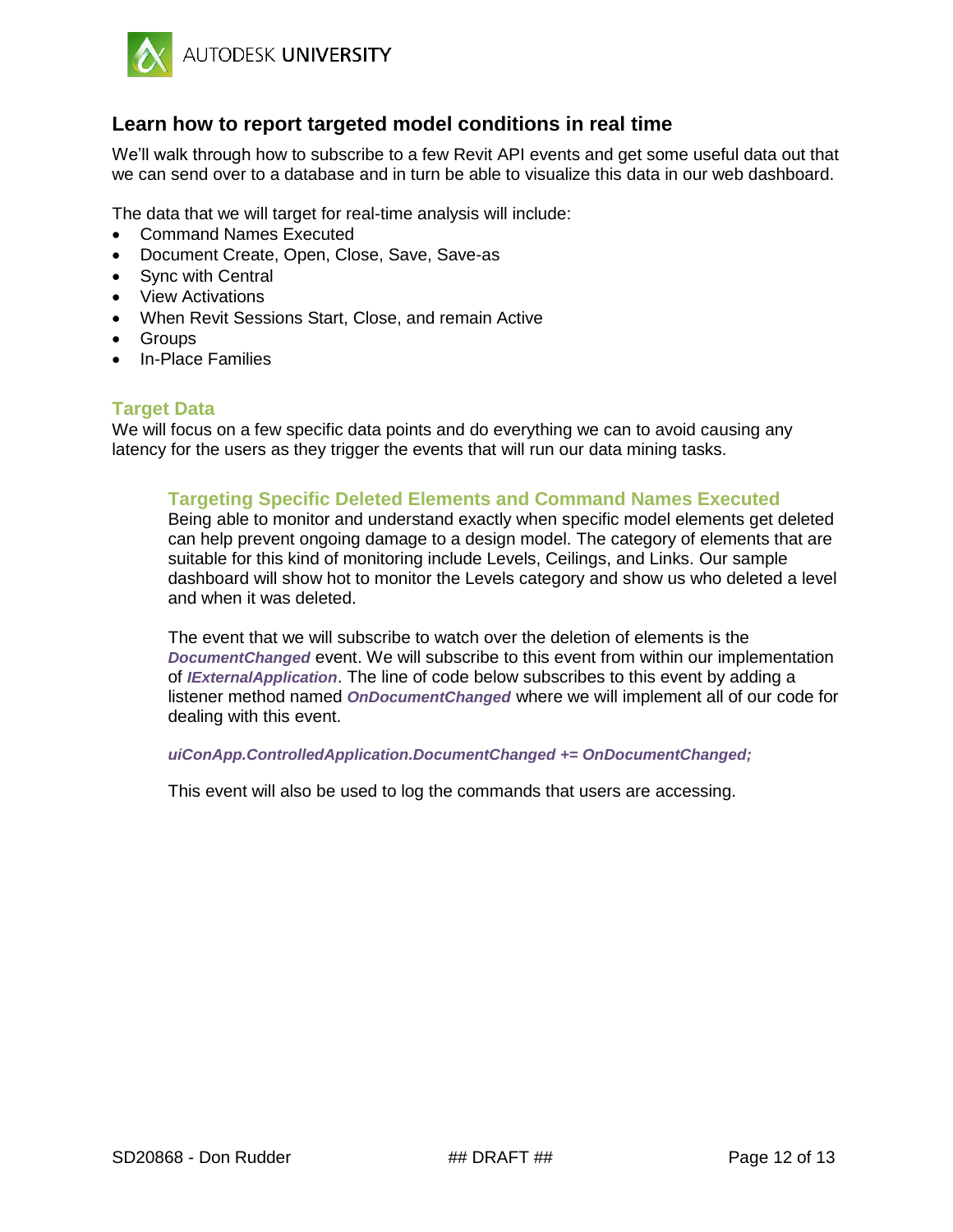

## <span id="page-11-0"></span>**Learn how to report targeted model conditions in real time**

We'll walk through how to subscribe to a few Revit API events and get some useful data out that we can send over to a database and in turn be able to visualize this data in our web dashboard.

The data that we will target for real-time analysis will include:

- Command Names Executed
- Document Create, Open, Close, Save, Save-as
- Sync with Central
- View Activations
- When Revit Sessions Start, Close, and remain Active
- Groups
- In-Place Families

#### <span id="page-11-1"></span>**Target Data**

We will focus on a few specific data points and do everything we can to avoid causing any latency for the users as they trigger the events that will run our data mining tasks.

### **Targeting Specific Deleted Elements and Command Names Executed**

Being able to monitor and understand exactly when specific model elements get deleted can help prevent ongoing damage to a design model. The category of elements that are suitable for this kind of monitoring include Levels, Ceilings, and Links. Our sample dashboard will show hot to monitor the Levels category and show us who deleted a level and when it was deleted.

The event that we will subscribe to watch over the deletion of elements is the *DocumentChanged* event. We will subscribe to this event from within our implementation of *IExternalApplication*. The line of code below subscribes to this event by adding a listener method named *OnDocumentChanged* where we will implement all of our code for dealing with this event.

#### *uiConApp.ControlledApplication.DocumentChanged += OnDocumentChanged;*

This event will also be used to log the commands that users are accessing.